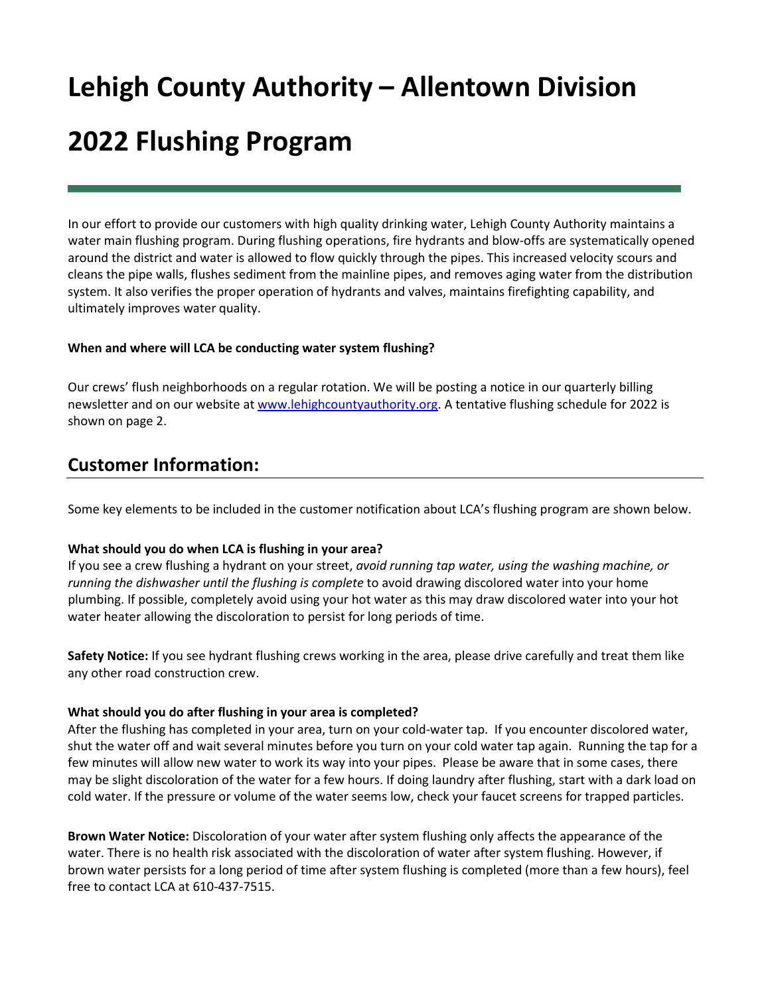# **Lehigh County Authority – Allentown Division 2022 Flushing Program**

In our effort to provide our customers with high quality drinking water, Lehigh County Authority maintains a water main flushing program. During flushing operations, fire hydrants and blow-offs are systematically opened around the district and water is allowed to flow quickly through the pipes. This increased velocity scours and cleans the pipe walls, flushes sediment from the mainline pipes, and removes aging water from the distribution system. It also verifies the proper operation of hydrants and valves, maintains firefighting capability, and ultimately improves water quality.

#### **When and where will LCA be conducting water system flushing?**

Our crews' flush neighborhoods on a regular rotation. We will be posting a notice in our quarterly billing newsletter and on our website at [www.lehighcountyauthority.org.](http://www.lehighcountyauthority.org/) A tentative flushing schedule for 2022 is shown on page 2.

### **Customer Information:**

Some key elements to be included in the customer notification about LCA's flushing program are shown below.

#### **What should you do when LCA is flushing in your area?**

If you see a crew flushing a hydrant on your street, *avoid running tap water, using the washing machine, or running the dishwasher until the flushing is complete* to avoid drawing discolored water into your home plumbing. If possible, completely avoid using your hot water as this may draw discolored water into your hot water heater allowing the discoloration to persist for long periods of time.

**Safety Notice:** If you see hydrant flushing crews working in the area, please drive carefully and treat them like any other road construction crew.

#### **What should you do after flushing in your area is completed?**

After the flushing has completed in your area, turn on your cold-water tap. If you encounter discolored water, shut the water off and wait several minutes before you turn on your cold water tap again. Running the tap for a few minutes will allow new water to work its way into your pipes. Please be aware that in some cases, there may be slight discoloration of the water for a few hours. If doing laundry after flushing, start with a dark load on cold water. If the pressure or volume of the water seems low, check your faucet screens for trapped particles.

**Brown Water Notice:** Discoloration of your water after system flushing only affects the appearance of the water. There is no health risk associated with the discoloration of water after system flushing. However, if brown water persists for a long period of time after system flushing is completed (more than a few hours), feel free to contact LCA at 610-437-7515.